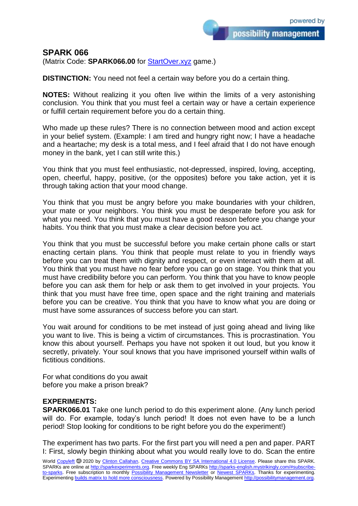possibility management

## **SPARK 066**

(Matrix Code: **SPARK066.00** for [StartOver.xyz](https://startoverxyz.mystrikingly.com/) game.)

**DISTINCTION:** You need not feel a certain way before you do a certain thing.

**NOTES:** Without realizing it you often live within the limits of a very astonishing conclusion. You think that you must feel a certain way or have a certain experience or fulfill certain requirement before you do a certain thing.

Who made up these rules? There is no connection between mood and action except in your belief system. (Example: I am tired and hungry right now; I have a headache and a heartache; my desk is a total mess, and I feel afraid that I do not have enough money in the bank, yet I can still write this.)

You think that you must feel enthusiastic, not-depressed, inspired, loving, accepting, open, cheerful, happy, positive, (or the opposites) before you take action, yet it is through taking action that your mood change.

You think that you must be angry before you make boundaries with your children, your mate or your neighbors. You think you must be desperate before you ask for what you need. You think that you must have a good reason before you change your habits. You think that you must make a clear decision before you act.

You think that you must be successful before you make certain phone calls or start enacting certain plans. You think that people must relate to you in friendly ways before you can treat them with dignity and respect, or even interact with them at all. You think that you must have no fear before you can go on stage. You think that you must have credibility before you can perform. You think that you have to know people before you can ask them for help or ask them to get involved in your projects. You think that you must have free time, open space and the right training and materials before you can be creative. You think that you have to know what you are doing or must have some assurances of success before you can start.

You wait around for conditions to be met instead of just going ahead and living like you want to live. This is being a victim of circumstances. This is procrastination. You know this about yourself. Perhaps you have not spoken it out loud, but you know it secretly, privately. Your soul knows that you have imprisoned yourself within walls of fictitious conditions.

For what conditions do you await before you make a prison break?

## **EXPERIMENTS:**

**SPARK066.01** Take one lunch period to do this experiment alone. (Any lunch period will do. For example, today's lunch period! It does not even have to be a lunch period! Stop looking for conditions to be right before you do the experiment!)

The experiment has two parts. For the first part you will need a pen and paper. PART I: First, slowly begin thinking about what you would really love to do. Scan the entire